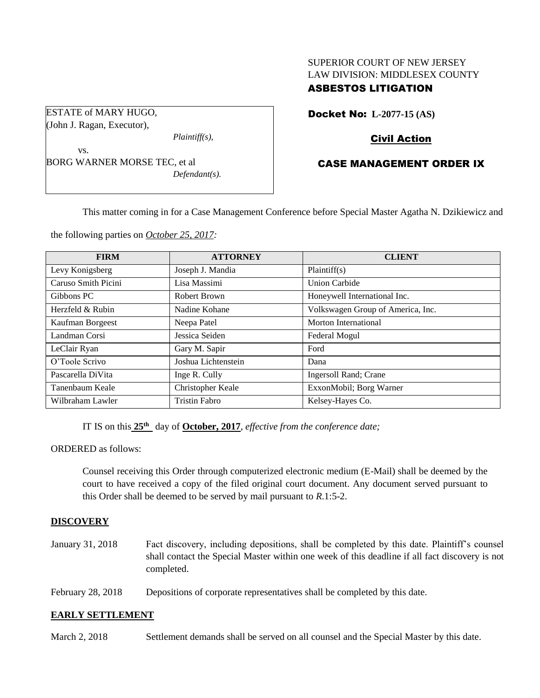# SUPERIOR COURT OF NEW JERSEY LAW DIVISION: MIDDLESEX COUNTY

# ASBESTOS LITIGATION

ESTATE of MARY HUGO, (John J. Ragan, Executor),

*Plaintiff(s),*

vs. BORG WARNER MORSE TEC, et al *Defendant(s).* Docket No: **L-2077-15 (AS)** 

# Civil Action

# CASE MANAGEMENT ORDER IX

This matter coming in for a Case Management Conference before Special Master Agatha N. Dzikiewicz and

the following parties on *October 25, 2017:*

| <b>FIRM</b>         | <b>ATTORNEY</b>      | <b>CLIENT</b>                     |
|---------------------|----------------------|-----------------------------------|
| Levy Konigsberg     | Joseph J. Mandia     | Plaintiff(s)                      |
| Caruso Smith Picini | Lisa Massimi         | <b>Union Carbide</b>              |
| Gibbons PC          | Robert Brown         | Honeywell International Inc.      |
| Herzfeld & Rubin    | Nadine Kohane        | Volkswagen Group of America, Inc. |
| Kaufman Borgeest    | Neepa Patel          | Morton International              |
| Landman Corsi       | Jessica Seiden       | Federal Mogul                     |
| LeClair Ryan        | Gary M. Sapir        | Ford                              |
| O'Toole Scrivo      | Joshua Lichtenstein  | Dana                              |
| Pascarella DiVita   | Inge R. Cully        | Ingersoll Rand; Crane             |
| Tanenbaum Keale     | Christopher Keale    | ExxonMobil; Borg Warner           |
| Wilbraham Lawler    | <b>Tristin Fabro</b> | Kelsey-Hayes Co.                  |

IT IS on this  $25<sup>th</sup>$  day of **October, 2017**, *effective from the conference date*;

ORDERED as follows:

Counsel receiving this Order through computerized electronic medium (E-Mail) shall be deemed by the court to have received a copy of the filed original court document. Any document served pursuant to this Order shall be deemed to be served by mail pursuant to *R*.1:5-2.

## **DISCOVERY**

January 31, 2018 Fact discovery, including depositions, shall be completed by this date. Plaintiff's counsel shall contact the Special Master within one week of this deadline if all fact discovery is not completed.

February 28, 2018 Depositions of corporate representatives shall be completed by this date.

## **EARLY SETTLEMENT**

March 2, 2018 Settlement demands shall be served on all counsel and the Special Master by this date.